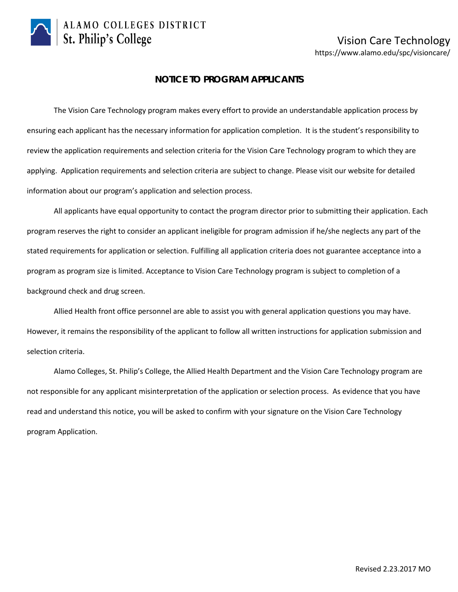

## Vision Care Technology https://www.alamo.edu/spc/visioncare/

### **NOTICE TO PROGRAM APPLICANTS**

The Vision Care Technology program makes every effort to provide an understandable application process by ensuring each applicant has the necessary information for application completion. It is the student's responsibility to review the application requirements and selection criteria for the Vision Care Technology program to which they are applying. Application requirements and selection criteria are subject to change. Please visit our website for detailed information about our program's application and selection process.

All applicants have equal opportunity to contact the program director prior to submitting their application. Each program reserves the right to consider an applicant ineligible for program admission if he/she neglects any part of the stated requirements for application or selection. Fulfilling all application criteria does not guarantee acceptance into a program as program size is limited. Acceptance to Vision Care Technology program is subject to completion of a background check and drug screen.

Allied Health front office personnel are able to assist you with general application questions you may have. However, it remains the responsibility of the applicant to follow all written instructions for application submission and selection criteria.

Alamo Colleges, St. Philip's College, the Allied Health Department and the Vision Care Technology program are not responsible for any applicant misinterpretation of the application or selection process. As evidence that you have read and understand this notice, you will be asked to confirm with your signature on the Vision Care Technology program Application.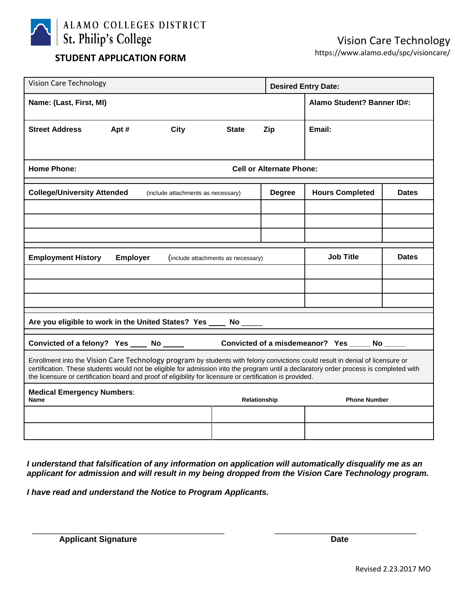

# https://www.alamo.edu/spc/visioncare/ **STUDENT APPLICATION FORM**

| <b>Desired Entry Date:</b>                                                                                                                                                                                                                                                                                                                                                           |  |  |  |  |  |
|--------------------------------------------------------------------------------------------------------------------------------------------------------------------------------------------------------------------------------------------------------------------------------------------------------------------------------------------------------------------------------------|--|--|--|--|--|
| Alamo Student? Banner ID#:                                                                                                                                                                                                                                                                                                                                                           |  |  |  |  |  |
| Email:                                                                                                                                                                                                                                                                                                                                                                               |  |  |  |  |  |
|                                                                                                                                                                                                                                                                                                                                                                                      |  |  |  |  |  |
| <b>Home Phone:</b><br><b>Cell or Alternate Phone:</b>                                                                                                                                                                                                                                                                                                                                |  |  |  |  |  |
| <b>Hours Completed</b><br><b>Dates</b>                                                                                                                                                                                                                                                                                                                                               |  |  |  |  |  |
|                                                                                                                                                                                                                                                                                                                                                                                      |  |  |  |  |  |
|                                                                                                                                                                                                                                                                                                                                                                                      |  |  |  |  |  |
|                                                                                                                                                                                                                                                                                                                                                                                      |  |  |  |  |  |
| <b>Job Title</b><br><b>Dates</b>                                                                                                                                                                                                                                                                                                                                                     |  |  |  |  |  |
|                                                                                                                                                                                                                                                                                                                                                                                      |  |  |  |  |  |
|                                                                                                                                                                                                                                                                                                                                                                                      |  |  |  |  |  |
|                                                                                                                                                                                                                                                                                                                                                                                      |  |  |  |  |  |
| Are you eligible to work in the United States? Yes<br><b>No</b>                                                                                                                                                                                                                                                                                                                      |  |  |  |  |  |
| Convicted of a misdemeanor? Yes _____ No _<br>Convicted of a felony? Yes _____ No ______                                                                                                                                                                                                                                                                                             |  |  |  |  |  |
| Enrollment into the Vision Care Technology program by students with felony convictions could result in denial of licensure or<br>certification. These students would not be eligible for admission into the program until a declaratory order process is completed with<br>the licensure or certification board and proof of eligibility for licensure or certification is provided. |  |  |  |  |  |
| <b>Phone Number</b>                                                                                                                                                                                                                                                                                                                                                                  |  |  |  |  |  |
|                                                                                                                                                                                                                                                                                                                                                                                      |  |  |  |  |  |
|                                                                                                                                                                                                                                                                                                                                                                                      |  |  |  |  |  |
|                                                                                                                                                                                                                                                                                                                                                                                      |  |  |  |  |  |

*I understand that falsification of any information on application will automatically disqualify me as an applicant for admission and will result in my being dropped from the Vision Care Technology program.* 

*I have read and understand the Notice to Program Applicants.*

\_\_\_\_\_\_\_\_\_\_\_\_\_\_\_\_\_\_\_\_\_\_\_\_\_\_\_\_\_\_\_\_\_\_\_\_\_\_\_\_\_\_ \_\_\_\_\_\_\_\_\_\_\_\_\_\_\_\_\_\_\_\_\_\_\_\_\_\_\_\_\_\_\_ Applicant Signature **Date**